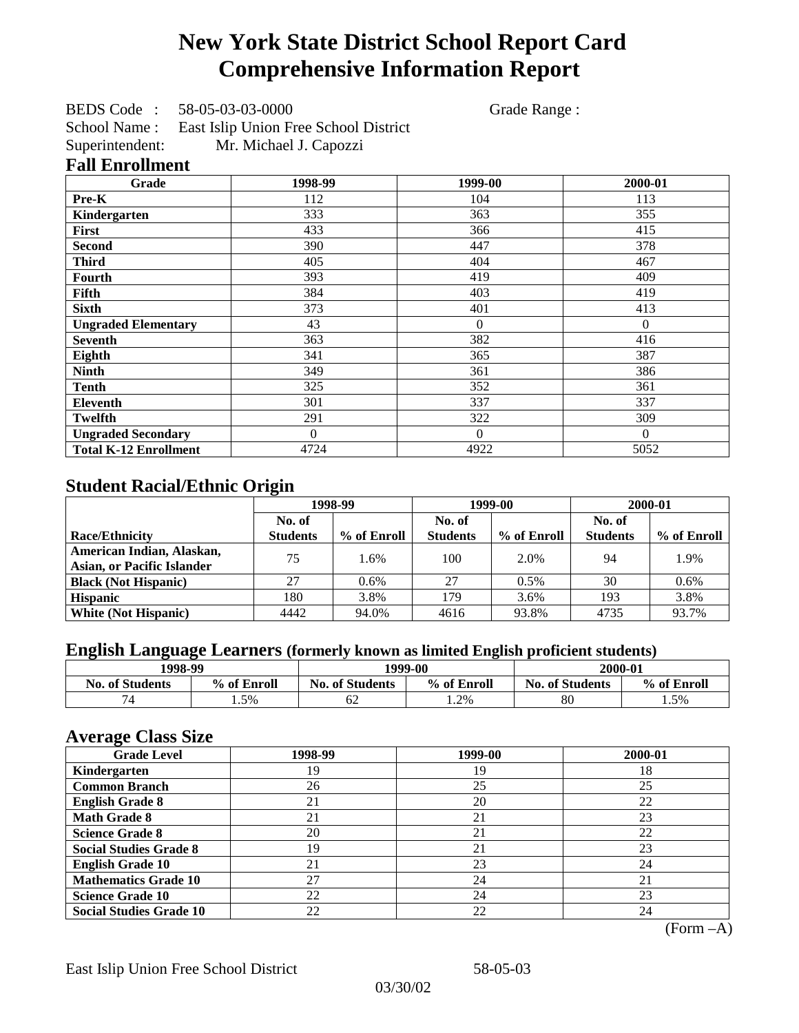# **New York State District School Report Card Comprehensive Information Report**

BEDS Code : 58-05-03-03-0000 Grade Range :

School Name : East Islip Union Free School District Superintendent: Mr. Michael J. Capozzi

### **Fall Enrollment**

| Grade                        | 1998-99  | 1999-00  | 2000-01  |
|------------------------------|----------|----------|----------|
| Pre-K                        | 112      | 104      | 113      |
| Kindergarten                 | 333      | 363      | 355      |
| <b>First</b>                 | 433      | 366      | 415      |
| <b>Second</b>                | 390      | 447      | 378      |
| <b>Third</b>                 | 405      | 404      | 467      |
| <b>Fourth</b>                | 393      | 419      | 409      |
| Fifth                        | 384      | 403      | 419      |
| <b>Sixth</b>                 | 373      | 401      | 413      |
| <b>Ungraded Elementary</b>   | 43       | $\theta$ | $\Omega$ |
| <b>Seventh</b>               | 363      | 382      | 416      |
| Eighth                       | 341      | 365      | 387      |
| <b>Ninth</b>                 | 349      | 361      | 386      |
| <b>Tenth</b>                 | 325      | 352      | 361      |
| Eleventh                     | 301      | 337      | 337      |
| <b>Twelfth</b>               | 291      | 322      | 309      |
| <b>Ungraded Secondary</b>    | $\theta$ | $\Omega$ | $\Omega$ |
| <b>Total K-12 Enrollment</b> | 4724     | 4922     | 5052     |

## **Student Racial/Ethnic Origin**

|                                   | 1998-99         |             | 1999-00         |             | 2000-01         |             |
|-----------------------------------|-----------------|-------------|-----------------|-------------|-----------------|-------------|
|                                   | No. of          |             | No. of          |             | No. of          |             |
| <b>Race/Ethnicity</b>             | <b>Students</b> | % of Enroll | <b>Students</b> | % of Enroll | <b>Students</b> | % of Enroll |
| American Indian, Alaskan,         | 75              | 1.6%        | 100             | 2.0%        | 94              | 1.9%        |
| <b>Asian, or Pacific Islander</b> |                 |             |                 |             |                 |             |
| <b>Black (Not Hispanic)</b>       | 27              | $0.6\%$     | 27              | 0.5%        | 30              | 0.6%        |
| <b>Hispanic</b>                   | 180             | 3.8%        | 179             | 3.6%        | 193             | 3.8%        |
| <b>White (Not Hispanic)</b>       | 4442            | 94.0%       | 4616            | 93.8%       | 4735            | 93.7%       |

## **English Language Learners (formerly known as limited English proficient students)**

| 1998-99<br>1999-00     |             |                        | 2000-01     |                        |             |
|------------------------|-------------|------------------------|-------------|------------------------|-------------|
| <b>No. of Students</b> | % of Enroll | <b>No. of Students</b> | % of Enroll | <b>No. of Students</b> | % of Enroll |
| 7 <sub>A</sub>         | 1.5%        | 62                     | 1.2%        | 80                     | 1.5%        |

### **Average Class Size**

| <u>ືຕ</u><br><b>Grade Level</b> | 1998-99 | 1999-00 | 2000-01 |
|---------------------------------|---------|---------|---------|
| Kindergarten                    | 19      | 19      | 18      |
| <b>Common Branch</b>            | 26      | 25      | 25      |
| <b>English Grade 8</b>          | 21      | 20      | 22      |
| <b>Math Grade 8</b>             | 21      | 21      | 23      |
| <b>Science Grade 8</b>          | 20      | 21      | 22      |
| <b>Social Studies Grade 8</b>   | 19      | 21      | 23      |
| <b>English Grade 10</b>         | 21      | 23      | 24      |
| <b>Mathematics Grade 10</b>     | 27      | 24      | 21      |
| <b>Science Grade 10</b>         | 22      | 24      | 23      |
| <b>Social Studies Grade 10</b>  | 22      | 22      | 24      |

(Form –A)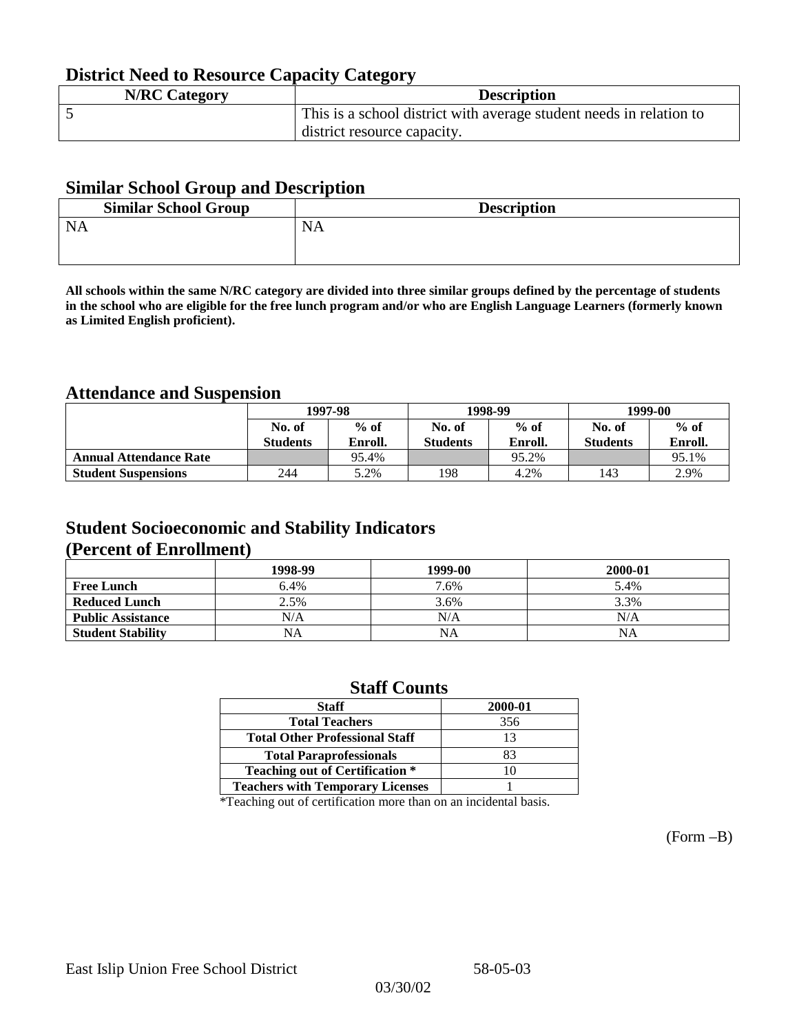## **District Need to Resource Capacity Category**

| <b>N/RC Category</b> | <b>Description</b>                                                  |
|----------------------|---------------------------------------------------------------------|
|                      | This is a school district with average student needs in relation to |
|                      | district resource capacity.                                         |

### **Similar School Group and Description**

| <b>Similar School Group</b> | <b>Description</b> |
|-----------------------------|--------------------|
| <b>NA</b>                   | <b>NA</b>          |
|                             |                    |

**All schools within the same N/RC category are divided into three similar groups defined by the percentage of students in the school who are eligible for the free lunch program and/or who are English Language Learners (formerly known as Limited English proficient).**

## **Attendance and Suspension**

|                               | 1997-98         |         |                 | 1998-99 | 1999-00         |         |
|-------------------------------|-----------------|---------|-----------------|---------|-----------------|---------|
|                               | No. of          | $%$ of  | No. of          | $%$ of  | No. of          | $%$ of  |
|                               | <b>Students</b> | Enroll. | <b>Students</b> | Enroll. | <b>Students</b> | Enroll. |
| <b>Annual Attendance Rate</b> |                 | 95.4%   |                 | 95.2%   |                 | 95.1%   |
| <b>Student Suspensions</b>    | 244             | 5.2%    | 198             | 4.2%    | l 43            | 2.9%    |

## **Student Socioeconomic and Stability Indicators (Percent of Enrollment)**

|                          | 1998-99   | 1999-00   | 2000-01 |
|--------------------------|-----------|-----------|---------|
| <b>Free Lunch</b>        | 6.4%      | 7.6%      | 5.4%    |
| <b>Reduced Lunch</b>     | 2.5%      | 3.6%      | 3.3%    |
| <b>Public Assistance</b> | N/A       | N/A       | N/A     |
| <b>Student Stability</b> | <b>NA</b> | <b>NA</b> | ΝA      |

### **Staff Counts**

| <b>Staff</b>                            | 2000-01 |
|-----------------------------------------|---------|
| <b>Total Teachers</b>                   | 356     |
| <b>Total Other Professional Staff</b>   | 13      |
| <b>Total Paraprofessionals</b>          | 83      |
| <b>Teaching out of Certification *</b>  |         |
| <b>Teachers with Temporary Licenses</b> |         |

\*Teaching out of certification more than on an incidental basis.

(Form –B)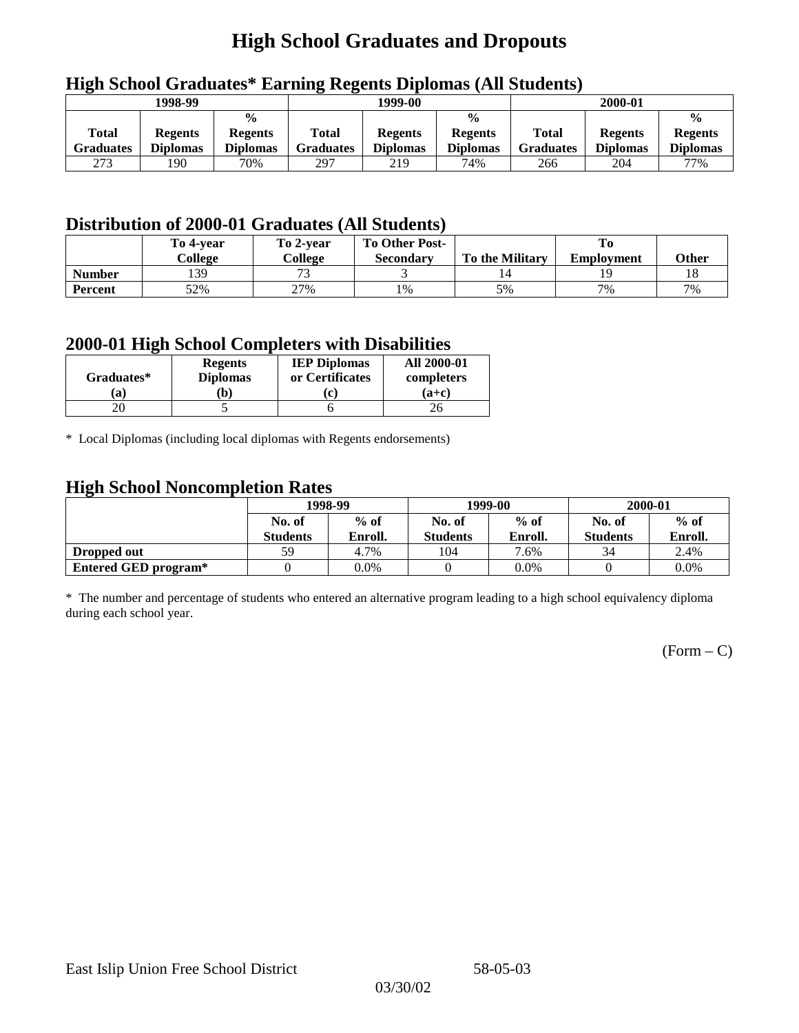# **High School Graduates and Dropouts**

|                           | 1998-99                           |                                                    | 1999-00                   |                                   |                                                    |                                  | 2000-01                           |                                                    |
|---------------------------|-----------------------------------|----------------------------------------------------|---------------------------|-----------------------------------|----------------------------------------------------|----------------------------------|-----------------------------------|----------------------------------------------------|
| <b>Total</b><br>Graduates | <b>Regents</b><br><b>Diplomas</b> | $\frac{0}{0}$<br><b>Regents</b><br><b>Diplomas</b> | Total<br><b>Graduates</b> | <b>Regents</b><br><b>Diplomas</b> | $\frac{6}{6}$<br><b>Regents</b><br><b>Diplomas</b> | <b>Total</b><br><b>Graduates</b> | <b>Regents</b><br><b>Diplomas</b> | $\frac{0}{0}$<br><b>Regents</b><br><b>Diplomas</b> |
| 273                       | 190                               | 70%                                                | 297                       | 219                               | 74%                                                | 266                              | 204                               | 77%                                                |

## **High School Graduates\* Earning Regents Diplomas (All Students)**

## **Distribution of 2000-01 Graduates (All Students)**

|               | To 4-vear | To 2-year                | <b>To Other Post-</b> |                        |                   |       |
|---------------|-----------|--------------------------|-----------------------|------------------------|-------------------|-------|
|               | College   | College                  | Secondary             | <b>To the Military</b> | <b>Employment</b> | Other |
| <b>Number</b> | 139       | $\overline{\phantom{a}}$ |                       |                        |                   |       |
| Percent       | 52%       | 27%                      | 1%                    | 5%                     | 7%                | 7%    |

### **2000-01 High School Completers with Disabilities**

| Graduates* | <b>Regents</b><br><b>Diplomas</b> | <b>IEP Diplomas</b><br>or Certificates | <b>All 2000-01</b><br>completers |
|------------|-----------------------------------|----------------------------------------|----------------------------------|
| a          | b)                                | $\mathbf{r}$                           | $(a+c)$                          |
|            |                                   |                                        |                                  |

\* Local Diplomas (including local diplomas with Regents endorsements)

## **High School Noncompletion Rates**

| $\tilde{\phantom{a}}$ | 1998-99         |         |                 | 1999-00 | 2000-01         |         |
|-----------------------|-----------------|---------|-----------------|---------|-----------------|---------|
|                       | No. of          | $%$ of  | No. of          | $%$ of  | No. of          | $%$ of  |
|                       | <b>Students</b> | Enroll. | <b>Students</b> | Enroll. | <b>Students</b> | Enroll. |
| Dropped out           | 59              | 4.7%    | 104             | 7.6%    | 34              | 2.4%    |
| Entered GED program*  |                 | 0.0%    |                 | $0.0\%$ |                 | $0.0\%$ |

\* The number and percentage of students who entered an alternative program leading to a high school equivalency diploma during each school year.

 $(Form - C)$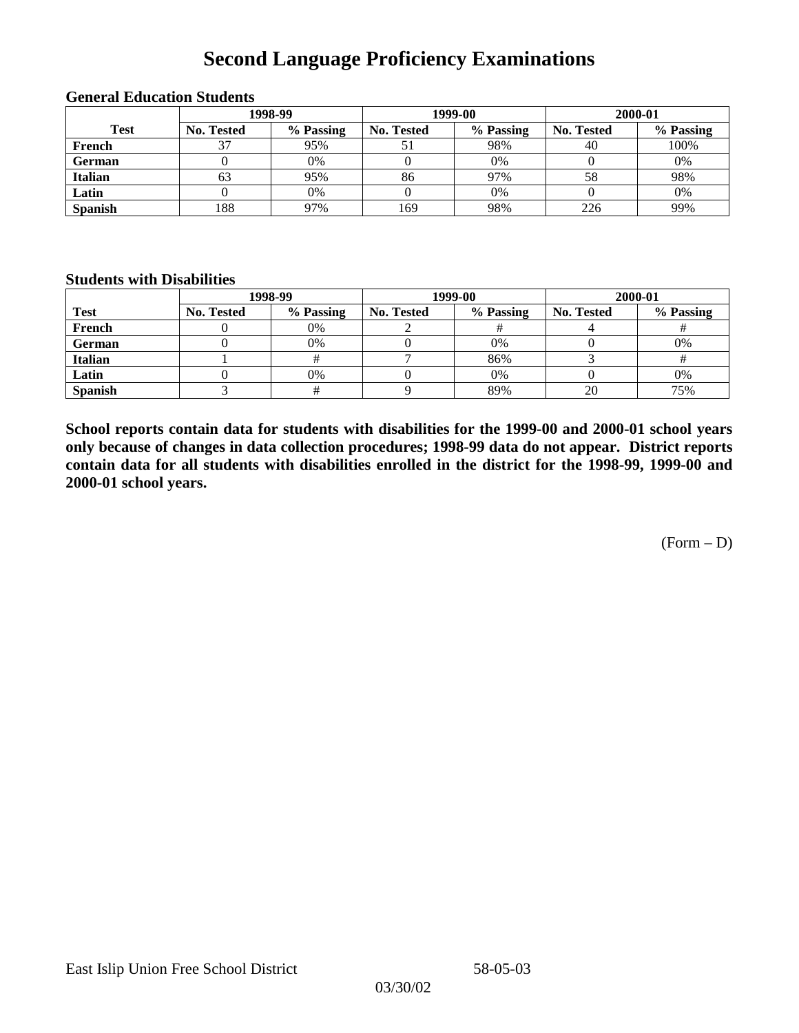# **Second Language Proficiency Examinations**

|                | 1998-99           |           |                   | 1999-00   | 2000-01           |           |  |
|----------------|-------------------|-----------|-------------------|-----------|-------------------|-----------|--|
| <b>Test</b>    | <b>No. Tested</b> | % Passing | <b>No. Tested</b> | % Passing | <b>No. Tested</b> | % Passing |  |
| French         |                   | 95%       |                   | 98%       | 40                | 100%      |  |
| <b>German</b>  |                   | $0\%$     |                   | 0%        |                   | 0%        |  |
| <b>Italian</b> | 63                | 95%       | 86                | 97%       | 58                | 98%       |  |
| Latin          |                   | 0%        |                   | 0%        |                   | 0%        |  |
| <b>Spanish</b> | 188               | 97%       | 169               | 98%       | 226               | 99%       |  |

#### **General Education Students**

### **Students with Disabilities**

|                | 1998-99    |           |                   | 1999-00   | 2000-01           |           |  |
|----------------|------------|-----------|-------------------|-----------|-------------------|-----------|--|
| <b>Test</b>    | No. Tested | % Passing | <b>No. Tested</b> | % Passing | <b>No. Tested</b> | % Passing |  |
| French         |            | 0%        |                   |           |                   |           |  |
| German         |            | 0%        |                   | 0%        |                   | 0%        |  |
| <b>Italian</b> |            |           |                   | 86%       |                   |           |  |
| Latin          |            | 0%        |                   | 0%        |                   | 0%        |  |
| <b>Spanish</b> |            |           |                   | 89%       | 20                | 75%       |  |

**School reports contain data for students with disabilities for the 1999-00 and 2000-01 school years only because of changes in data collection procedures; 1998-99 data do not appear. District reports contain data for all students with disabilities enrolled in the district for the 1998-99, 1999-00 and 2000-01 school years.**

 $(Form - D)$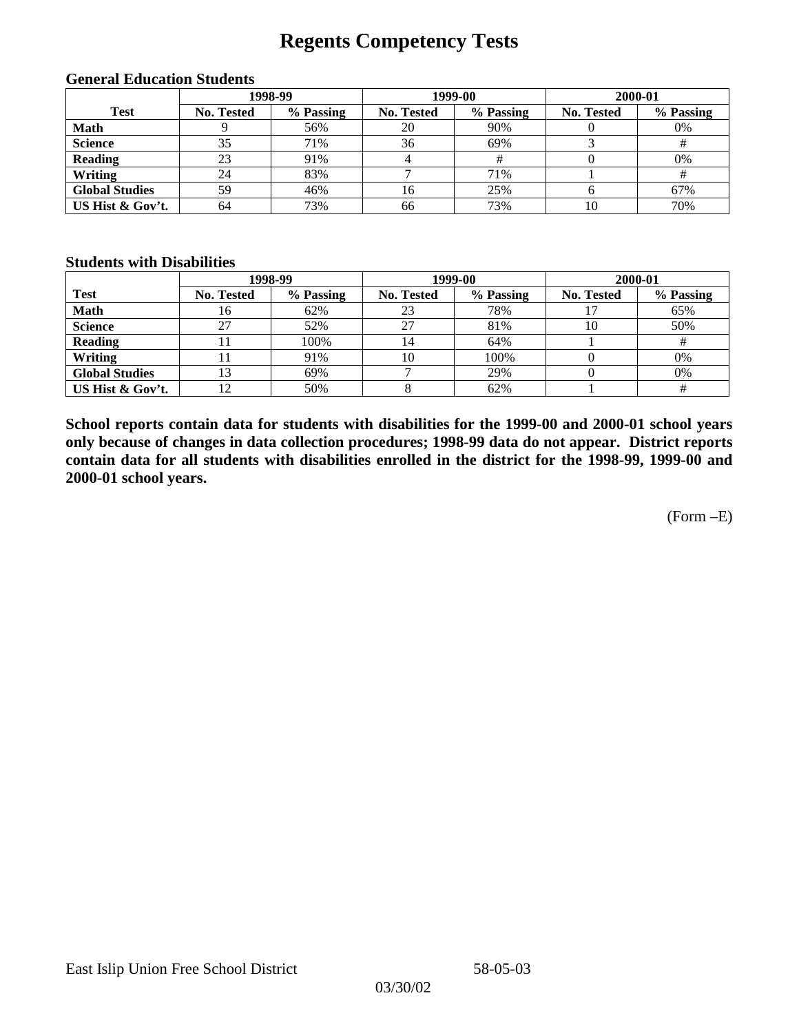# **Regents Competency Tests**

| 1998-99               |                   |           |                   | 1999-00   | 2000-01           |           |  |
|-----------------------|-------------------|-----------|-------------------|-----------|-------------------|-----------|--|
| <b>Test</b>           | <b>No. Tested</b> | % Passing | <b>No. Tested</b> | % Passing | <b>No. Tested</b> | % Passing |  |
| <b>Math</b>           |                   | 56%       | 20                | 90%       |                   | 0%        |  |
| <b>Science</b>        | 35                | 71%       | 36                | 69%       |                   |           |  |
| <b>Reading</b>        | 23                | 91%       | 4                 |           |                   | 0%        |  |
| Writing               | 24                | 83%       |                   | 71%       |                   |           |  |
| <b>Global Studies</b> | 59                | 46%       | 16                | 25%       |                   | 67%       |  |
| US Hist & Gov't.      | 64                | 73%       | 66                | 73%       | 10                | 70%       |  |

#### **General Education Students**

### **Students with Disabilities**

|                       |                   | 1998-99   | 1999-00    |           | 2000-01    |           |
|-----------------------|-------------------|-----------|------------|-----------|------------|-----------|
| <b>Test</b>           | <b>No. Tested</b> | % Passing | No. Tested | % Passing | No. Tested | % Passing |
| <b>Math</b>           | 16                | 62%       | 23         | 78%       |            | 65%       |
| <b>Science</b>        | 27                | 52%       | 27         | 81%       | 10         | 50%       |
| <b>Reading</b>        |                   | 100%      | 14         | 64%       |            |           |
| Writing               |                   | 91%       | 10         | 100%      |            | 0%        |
| <b>Global Studies</b> | 13                | 69%       |            | 29%       |            | 0%        |
| US Hist & Gov't.      |                   | 50%       |            | 62%       |            |           |

**School reports contain data for students with disabilities for the 1999-00 and 2000-01 school years only because of changes in data collection procedures; 1998-99 data do not appear. District reports contain data for all students with disabilities enrolled in the district for the 1998-99, 1999-00 and 2000-01 school years.**

(Form –E)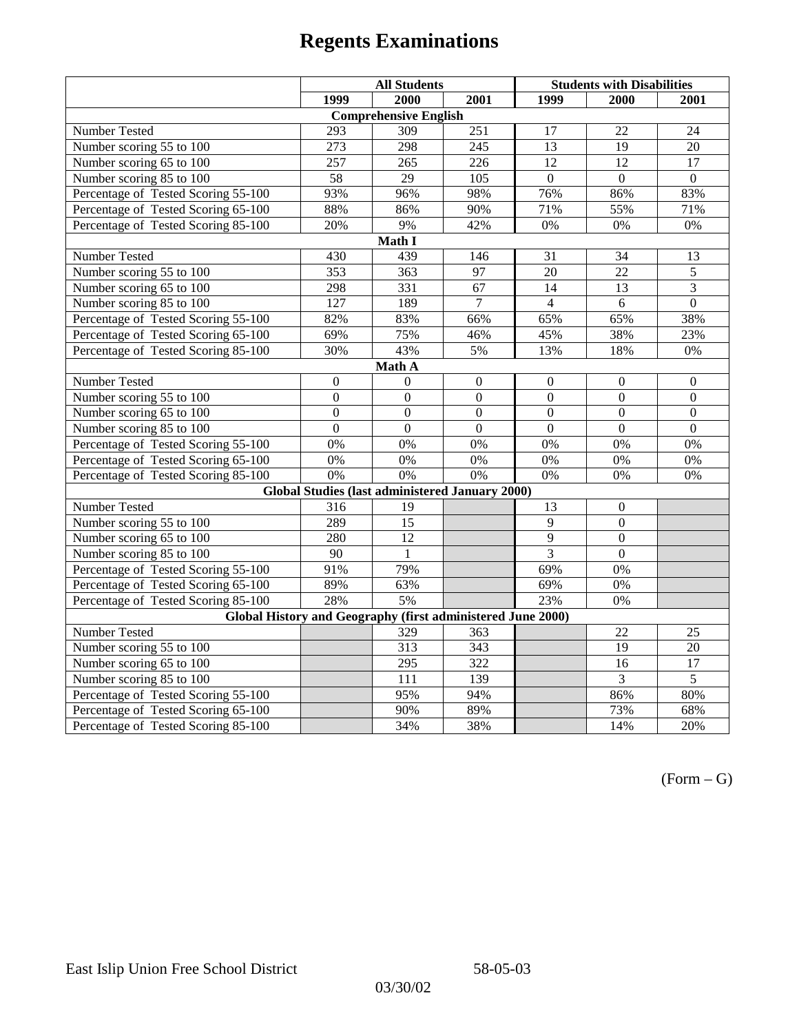|                                                             | <b>All Students</b> |                                                        |                  | <b>Students with Disabilities</b> |                  |                  |  |  |
|-------------------------------------------------------------|---------------------|--------------------------------------------------------|------------------|-----------------------------------|------------------|------------------|--|--|
|                                                             | 1999                | 2000                                                   | 2001             | 1999                              | 2000             | 2001             |  |  |
|                                                             |                     | <b>Comprehensive English</b>                           |                  |                                   |                  |                  |  |  |
| Number Tested                                               | 293                 | 309                                                    | 251              | 17                                | 22               | 24               |  |  |
| Number scoring 55 to 100                                    | 273                 | 298                                                    | 245              | 13                                | 19               | 20               |  |  |
| Number scoring 65 to 100                                    | 257                 | 265                                                    | 226              | 12                                | 12               | 17               |  |  |
| Number scoring 85 to 100                                    | 58                  | 29                                                     | 105              | $\overline{0}$                    | $\overline{0}$   | $\overline{0}$   |  |  |
| Percentage of Tested Scoring 55-100                         | 93%                 | 96%                                                    | 98%              | 76%                               | 86%              | 83%              |  |  |
| Percentage of Tested Scoring 65-100                         | 88%                 | 86%                                                    | 90%              | 71%                               | 55%              | 71%              |  |  |
| Percentage of Tested Scoring 85-100                         | 20%                 | 9%                                                     | 42%              | $0\%$                             | 0%               | $0\%$            |  |  |
|                                                             |                     | Math I                                                 |                  |                                   |                  |                  |  |  |
| Number Tested<br>31<br>34<br>430<br>439<br>146<br>13        |                     |                                                        |                  |                                   |                  |                  |  |  |
| Number scoring 55 to 100                                    | 353                 | 363                                                    | 97               | 20                                | 22               | 5                |  |  |
| Number scoring 65 to 100                                    | 298                 | 331                                                    | 67               | 14                                | 13               | $\overline{3}$   |  |  |
| Number scoring 85 to 100                                    | $\overline{127}$    | 189                                                    | $\overline{7}$   | $\overline{4}$                    | 6                | $\overline{0}$   |  |  |
| Percentage of Tested Scoring 55-100                         | 82%                 | 83%                                                    | 66%              | 65%                               | 65%              | 38%              |  |  |
| Percentage of Tested Scoring 65-100                         | 69%                 | 75%                                                    | 46%              | 45%                               | 38%              | 23%              |  |  |
| Percentage of Tested Scoring 85-100                         | 30%                 | 43%                                                    | 5%               | 13%                               | 18%              | $0\%$            |  |  |
| Math A                                                      |                     |                                                        |                  |                                   |                  |                  |  |  |
| Number Tested                                               | $\boldsymbol{0}$    | $\mathbf{0}$                                           | $\mathbf{0}$     | $\overline{0}$                    | $\boldsymbol{0}$ | $\boldsymbol{0}$ |  |  |
| Number scoring 55 to 100                                    | $\overline{0}$      | $\overline{0}$                                         | $\overline{0}$   | $\overline{0}$                    | $\overline{0}$   | $\mathbf{0}$     |  |  |
| Number scoring 65 to 100                                    | $\mathbf{0}$        | $\mathbf{0}$                                           | $\overline{0}$   | $\theta$                          | $\boldsymbol{0}$ | $\boldsymbol{0}$ |  |  |
| Number scoring 85 to 100                                    | $\overline{0}$      | $\overline{0}$                                         | $\mathbf{0}$     | $\mathbf{0}$                      | $\mathbf{0}$     | $\boldsymbol{0}$ |  |  |
| Percentage of Tested Scoring 55-100                         | 0%                  | 0%                                                     | 0%               | 0%                                | 0%               | 0%               |  |  |
| Percentage of Tested Scoring 65-100                         | 0%                  | 0%                                                     | 0%               | 0%                                | 0%               | 0%               |  |  |
| Percentage of Tested Scoring 85-100                         | 0%                  | 0%                                                     | 0%               | 0%                                | 0%               | $0\%$            |  |  |
|                                                             |                     | <b>Global Studies (last administered January 2000)</b> |                  |                                   |                  |                  |  |  |
| <b>Number Tested</b>                                        | 316                 | 19                                                     |                  | 13                                | $\mathbf{0}$     |                  |  |  |
| Number scoring 55 to 100                                    | 289                 | $\overline{15}$                                        |                  | $\overline{9}$                    | $\mathbf{0}$     |                  |  |  |
| Number scoring 65 to 100                                    | 280                 | 12                                                     |                  | 9                                 | $\mathbf{0}$     |                  |  |  |
| Number scoring 85 to 100                                    | 90                  | $\mathbf{1}$                                           |                  | $\overline{3}$                    | $\Omega$         |                  |  |  |
| Percentage of Tested Scoring 55-100                         | 91%                 | 79%                                                    |                  | 69%                               | $0\%$            |                  |  |  |
| Percentage of Tested Scoring 65-100                         | 89%                 | 63%                                                    |                  | 69%                               | 0%               |                  |  |  |
| Percentage of Tested Scoring 85-100                         | 28%                 | 5%                                                     |                  | 23%                               | 0%               |                  |  |  |
| Global History and Geography (first administered June 2000) |                     |                                                        |                  |                                   |                  |                  |  |  |
| Number Tested                                               |                     | 329                                                    | 363              |                                   | 22               | 25               |  |  |
| Number scoring 55 to 100                                    |                     | 313                                                    | $\overline{343}$ |                                   | $\overline{19}$  | $\overline{20}$  |  |  |
| Number scoring 65 to 100                                    |                     | 295                                                    | 322              |                                   | $\overline{16}$  | $\overline{17}$  |  |  |
| Number scoring 85 to 100                                    |                     | 111                                                    | 139              |                                   | $\overline{3}$   | $\overline{5}$   |  |  |
| Percentage of Tested Scoring 55-100                         |                     | 95%                                                    | 94%              |                                   | 86%              | 80%              |  |  |
| Percentage of Tested Scoring 65-100                         |                     | 90%                                                    | 89%              |                                   | 73%              | 68%              |  |  |
| Percentage of Tested Scoring 85-100                         |                     | 34%                                                    | 38%              |                                   | 14%              | 20%              |  |  |

 $(Form - G)$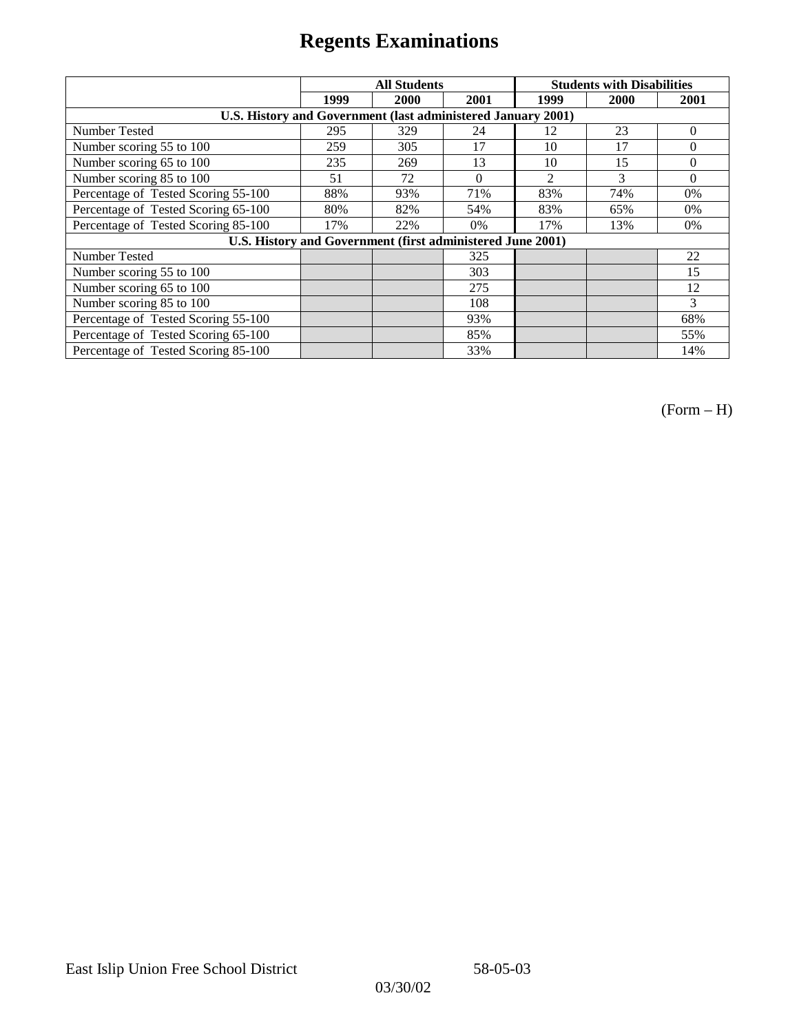|                                                              | <b>All Students</b> |      |          | <b>Students with Disabilities</b> |      |          |
|--------------------------------------------------------------|---------------------|------|----------|-----------------------------------|------|----------|
|                                                              | 1999                | 2000 | 2001     | 1999                              | 2000 | 2001     |
| U.S. History and Government (last administered January 2001) |                     |      |          |                                   |      |          |
| Number Tested                                                | 295                 | 329  | 24       | 12                                | 23   | $\Omega$ |
| Number scoring 55 to 100                                     | 259                 | 305  | 17       | 10                                | 17   | $\theta$ |
| Number scoring 65 to 100                                     | 235                 | 269  | 13       | 10                                | 15   | $\theta$ |
| Number scoring 85 to 100                                     | 51                  | 72   | $\Omega$ | $\mathfrak{D}$                    | 3    | $\Omega$ |
| Percentage of Tested Scoring 55-100                          | 88%                 | 93%  | 71%      | 83%                               | 74%  | $0\%$    |
| Percentage of Tested Scoring 65-100                          | 80%                 | 82%  | 54%      | 83%                               | 65%  | $0\%$    |
| Percentage of Tested Scoring 85-100                          | 17%                 | 22%  | $0\%$    | 17%                               | 13%  | $0\%$    |
| U.S. History and Government (first administered June 2001)   |                     |      |          |                                   |      |          |
| <b>Number Tested</b>                                         |                     |      | 325      |                                   |      | 22       |
| Number scoring 55 to 100                                     |                     |      | 303      |                                   |      | 15       |
| Number scoring 65 to 100                                     |                     |      | 275      |                                   |      | 12       |
| Number scoring 85 to 100                                     |                     |      | 108      |                                   |      | 3        |
| Percentage of Tested Scoring 55-100                          |                     |      | 93%      |                                   |      | 68%      |
| Percentage of Tested Scoring 65-100                          |                     |      | 85%      |                                   |      | 55%      |
| Percentage of Tested Scoring 85-100                          |                     |      | 33%      |                                   |      | 14%      |

(Form – H)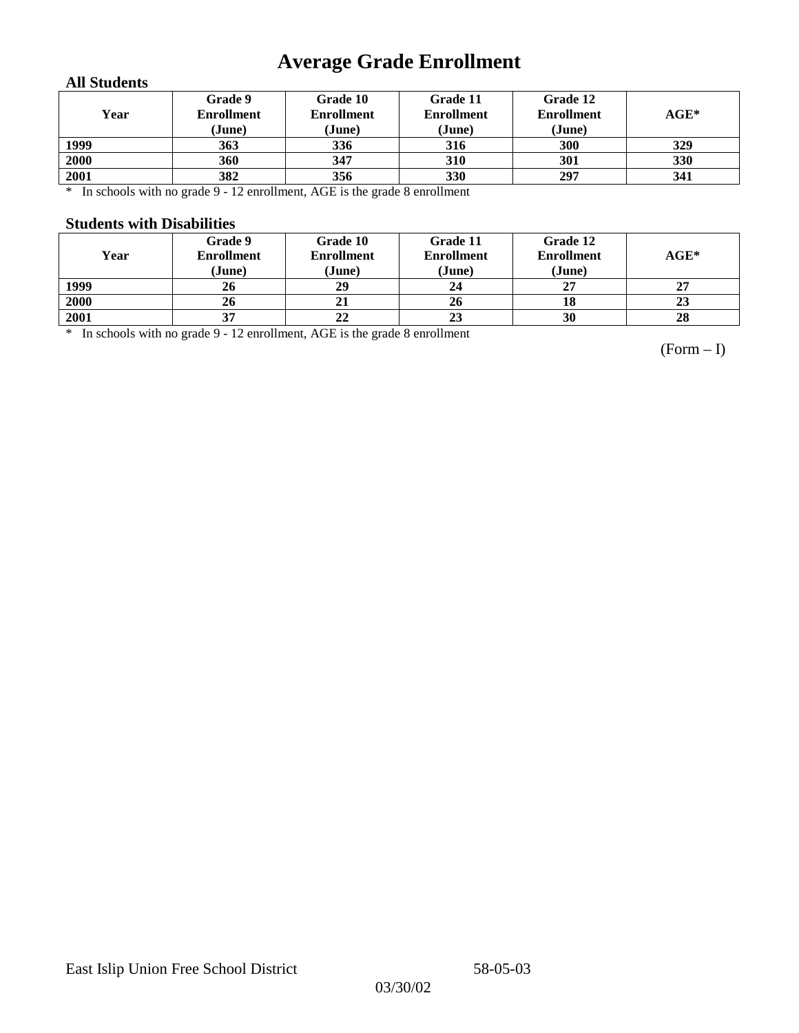# **Average Grade Enrollment**

### **All Students**

| Year | Grade 9<br><b>Enrollment</b><br>(June) | Grade 10<br><b>Enrollment</b><br>(June) | Grade 11<br><b>Enrollment</b><br>(June) | Grade 12<br><b>Enrollment</b><br>(June) | $\mathbf{AGE}^*$ |
|------|----------------------------------------|-----------------------------------------|-----------------------------------------|-----------------------------------------|------------------|
| 1999 | 363                                    | 336                                     | 316                                     | 300                                     | 329              |
| 2000 | 360                                    | 347                                     | 310                                     | 301                                     | 330              |
| 2001 | 382                                    | 356                                     | 330                                     | 297                                     | 341              |

\* In schools with no grade 9 - 12 enrollment, AGE is the grade 8 enrollment

### **Students with Disabilities**

| Year | Grade 9<br><b>Enrollment</b><br>(June) | Grade 10<br><b>Enrollment</b><br>(June) | Grade 11<br><b>Enrollment</b><br>(June) | Grade 12<br><b>Enrollment</b><br>(June) | $AGE^*$ |
|------|----------------------------------------|-----------------------------------------|-----------------------------------------|-----------------------------------------|---------|
| 1999 | 26                                     | 29                                      | 24                                      | 27                                      | 27      |
| 2000 | 26                                     | 21                                      | 26                                      | 18                                      | 23      |
| 2001 | 37                                     | 22                                      | 23                                      | 30                                      | 28      |

\* In schools with no grade 9 - 12 enrollment, AGE is the grade 8 enrollment

(Form – I)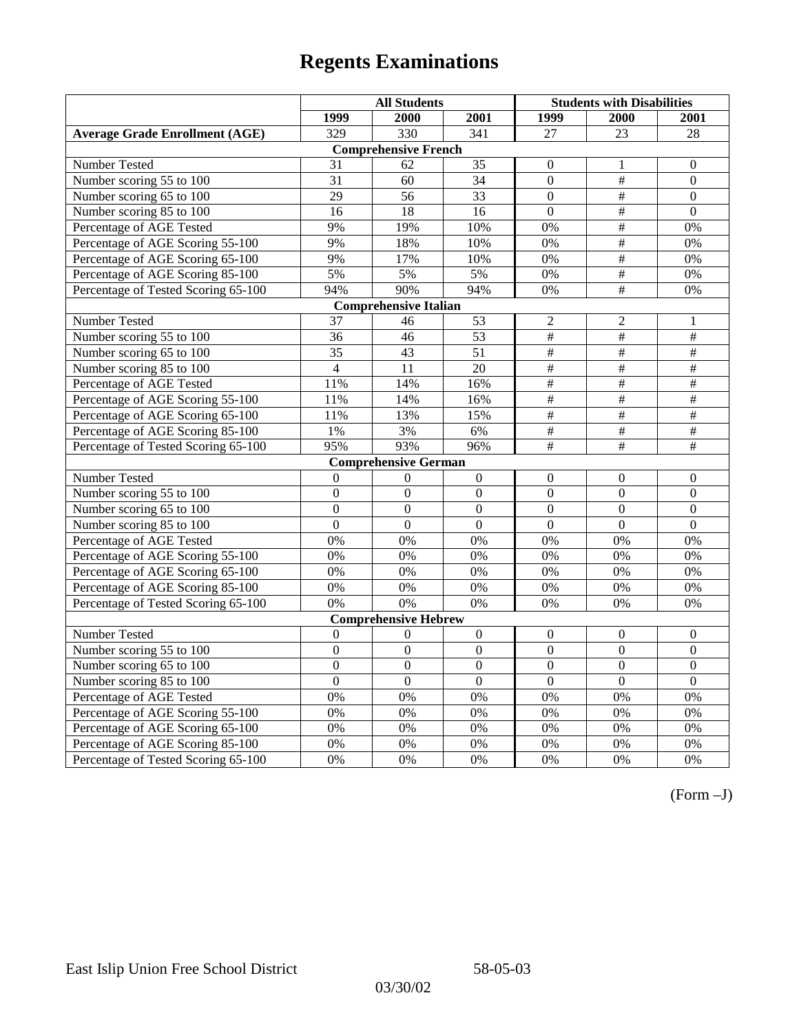|                                       | <b>All Students</b> |                              |                  | <b>Students with Disabilities</b> |                           |                          |
|---------------------------------------|---------------------|------------------------------|------------------|-----------------------------------|---------------------------|--------------------------|
|                                       | 1999                | 2000                         | 2001             | 1999                              | 2000                      | 2001                     |
| <b>Average Grade Enrollment (AGE)</b> | 329                 | 330                          | $\overline{341}$ | 27                                | $\overline{23}$           | $\overline{28}$          |
|                                       |                     | <b>Comprehensive French</b>  |                  |                                   |                           |                          |
| <b>Number Tested</b>                  | 31                  | 62                           | 35               | $\mathbf{0}$                      | 1                         | $\mathbf{0}$             |
| Number scoring 55 to 100              | $\overline{31}$     | 60                           | 34               | $\overline{0}$                    | $\#$                      | $\overline{0}$           |
| Number scoring 65 to 100              | 29                  | 56                           | 33               | $\mathbf{0}$                      | $\#$                      | $\mathbf{0}$             |
| Number scoring 85 to 100              | 16                  | 18                           | 16               | $\mathbf{0}$                      | $\overline{\#}$           | $\mathbf{0}$             |
| Percentage of AGE Tested              | 9%                  | 19%                          | 10%              | $0\%$                             | #                         | 0%                       |
| Percentage of AGE Scoring 55-100      | 9%                  | 18%                          | 10%              | 0%                                | $\#$                      | 0%                       |
| Percentage of AGE Scoring 65-100      | 9%                  | 17%                          | 10%              | 0%                                | $\overline{\overline{t}}$ | 0%                       |
| Percentage of AGE Scoring 85-100      | 5%                  | 5%                           | 5%               | $0\%$                             | #                         | $0\%$                    |
| Percentage of Tested Scoring 65-100   | 94%                 | 90%                          | 94%              | 0%                                | #                         | 0%                       |
|                                       |                     | <b>Comprehensive Italian</b> |                  |                                   |                           |                          |
| Number Tested                         | 37                  | 46                           | 53               | $\overline{2}$                    | $\overline{c}$            | 1                        |
| Number scoring 55 to 100              | 36                  | 46                           | 53               | $\frac{1}{2}$                     | $\overline{\#}$           | $\#$                     |
| Number scoring 65 to 100              | 35                  | 43                           | 51               | $\overline{\overline{H}}$         | $\overline{\overline{t}}$ | $\overline{+}$           |
| Number scoring 85 to 100              | $\overline{4}$      | 11                           | $\overline{20}$  | $\overline{\overline{t}}$         | $\overline{\overline{t}}$ | $\overline{\overline{}}$ |
| Percentage of AGE Tested              | 11%                 | 14%                          | 16%              | $\overline{\#}$                   | $\overline{\#}$           | $\overline{\overline{}}$ |
| Percentage of AGE Scoring 55-100      | 11%                 | 14%                          | 16%              | $\overline{\#}$                   | #                         | #                        |
| Percentage of AGE Scoring 65-100      | 11%                 | 13%                          | 15%              | $\frac{1}{2}$                     | $\overline{\#}$           | $\overline{\overline{}}$ |
| Percentage of AGE Scoring 85-100      | 1%                  | 3%                           | 6%               | $\#$                              | $\#$                      | $\#$                     |
| Percentage of Tested Scoring 65-100   | 95%                 | 93%                          | 96%              | $\#$                              | $\#$                      | $\#$                     |
|                                       |                     | <b>Comprehensive German</b>  |                  |                                   |                           |                          |
| Number Tested                         | $\overline{0}$      | $\mathbf{0}$                 | $\boldsymbol{0}$ | $\mathbf{0}$                      | $\mathbf{0}$              | $\boldsymbol{0}$         |
| Number scoring 55 to 100              | $\mathbf{0}$        | $\mathbf{0}$                 | $\overline{0}$   | $\overline{0}$                    | $\theta$                  | $\theta$                 |
| Number scoring 65 to 100              | $\overline{0}$      | $\overline{0}$               | $\overline{0}$   | $\overline{0}$                    | $\overline{0}$            | $\boldsymbol{0}$         |
| Number scoring 85 to 100              | $\overline{0}$      | $\overline{0}$               | $\overline{0}$   | $\overline{0}$                    | $\overline{0}$            | $\overline{0}$           |
| Percentage of AGE Tested              | 0%                  | 0%                           | 0%               | 0%                                | 0%                        | 0%                       |
| Percentage of AGE Scoring 55-100      | 0%                  | 0%                           | 0%               | 0%                                | 0%                        | 0%                       |
| Percentage of AGE Scoring 65-100      | 0%                  | 0%                           | 0%               | 0%                                | 0%                        | 0%                       |
| Percentage of AGE Scoring 85-100      | 0%                  | 0%                           | 0%               | 0%                                | 0%                        | 0%                       |
| Percentage of Tested Scoring 65-100   | 0%                  | 0%                           | $0\%$            | 0%                                | 0%                        | 0%                       |
|                                       |                     | <b>Comprehensive Hebrew</b>  |                  |                                   |                           |                          |
| Number Tested                         | $\boldsymbol{0}$    | $\boldsymbol{0}$             | $\boldsymbol{0}$ | $\mathbf{0}$                      | $\mathbf{0}$              | $\boldsymbol{0}$         |
| Number scoring 55 to 100              | $\overline{0}$      | $\overline{0}$               | $\overline{0}$   | $\overline{0}$                    | $\overline{0}$            | $\overline{0}$           |
| Number scoring 65 to 100              | $\mathbf{0}$        | $\overline{0}$               | $\Omega$         | $\mathbf{0}$                      | $\boldsymbol{0}$          | $\boldsymbol{0}$         |
| Number scoring 85 to 100              | $\overline{0}$      | $\overline{0}$               | $\overline{0}$   | $\overline{0}$                    | $\overline{0}$            | $\overline{0}$           |
| Percentage of AGE Tested              | 0%                  | 0%                           | 0%               | 0%                                | 0%                        | 0%                       |
| Percentage of AGE Scoring 55-100      | 0%                  | 0%                           | 0%               | 0%                                | 0%                        | 0%                       |
| Percentage of AGE Scoring 65-100      | 0%                  | 0%                           | 0%               | 0%                                | 0%                        | 0%                       |
| Percentage of AGE Scoring 85-100      | 0%                  | 0%                           | 0%               | $0\%$                             | 0%                        | 0%                       |
| Percentage of Tested Scoring 65-100   | 0%                  | 0%                           | 0%               | 0%                                | 0%                        | 0%                       |

(Form –J)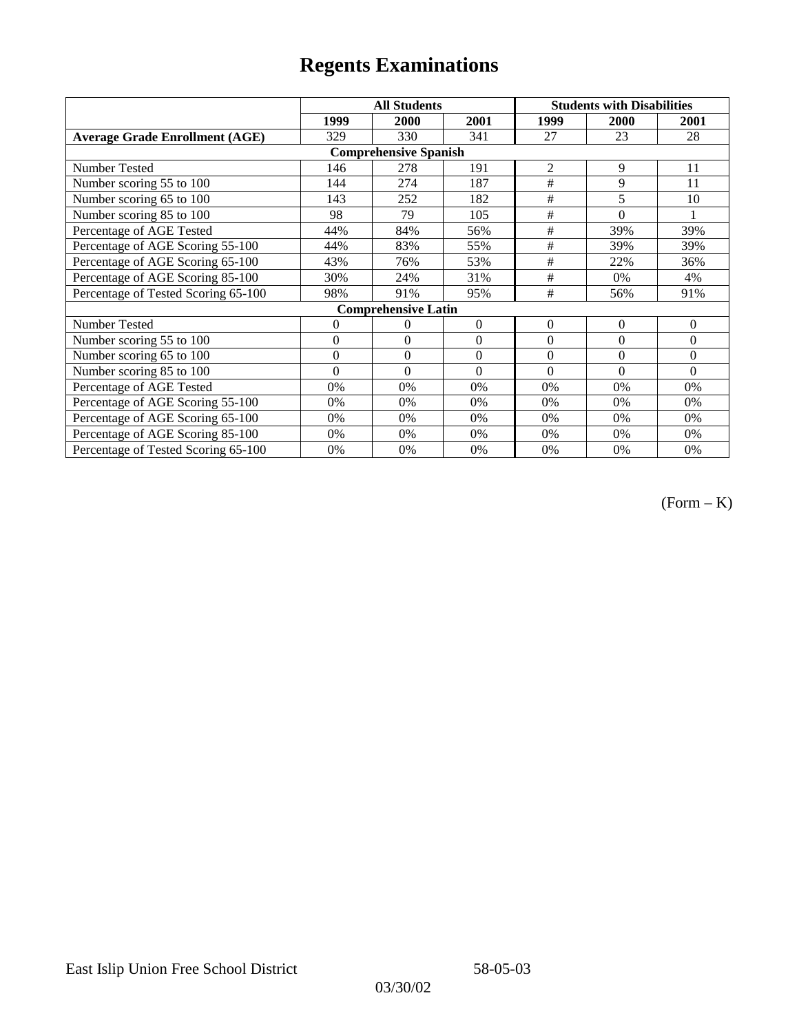|                                       | <b>All Students</b> |                            |                  | <b>Students with Disabilities</b> |                |          |  |  |
|---------------------------------------|---------------------|----------------------------|------------------|-----------------------------------|----------------|----------|--|--|
|                                       | 1999                | 2000                       | 2001             | 1999                              | <b>2000</b>    | 2001     |  |  |
| <b>Average Grade Enrollment (AGE)</b> | 329                 | 330                        | 341              | 27                                | 23             | 28       |  |  |
| <b>Comprehensive Spanish</b>          |                     |                            |                  |                                   |                |          |  |  |
| <b>Number Tested</b>                  | 146                 | 278                        | 191              | $\overline{2}$                    | 9              | 11       |  |  |
| Number scoring 55 to 100              | 144                 | 274                        | 187              | #                                 | 9              | 11       |  |  |
| Number scoring 65 to 100              | 143                 | 252                        | 182              | #                                 | 5              | 10       |  |  |
| Number scoring 85 to 100              | 98                  | 79                         | 105              | #                                 | $\theta$       |          |  |  |
| Percentage of AGE Tested              | 44%                 | 84%                        | 56%              | #                                 | 39%            | 39%      |  |  |
| Percentage of AGE Scoring 55-100      | 44%                 | 83%                        | 55%              | #                                 | 39%            | 39%      |  |  |
| Percentage of AGE Scoring 65-100      | 43%                 | 76%                        | 53%              | #                                 | 22%            | 36%      |  |  |
| Percentage of AGE Scoring 85-100      | 30%                 | 24%                        | 31%              | #                                 | 0%             | 4%       |  |  |
| Percentage of Tested Scoring 65-100   | 98%                 | 91%                        | 95%              | #                                 | 56%            | 91%      |  |  |
|                                       |                     | <b>Comprehensive Latin</b> |                  |                                   |                |          |  |  |
| Number Tested                         | $\overline{0}$      | 0                          | $\theta$         | $\overline{0}$                    | $\overline{0}$ | $\Omega$ |  |  |
| Number scoring 55 to 100              | $\mathbf{0}$        | $\theta$                   | $\boldsymbol{0}$ | $\overline{0}$                    | $\overline{0}$ | $\Omega$ |  |  |
| Number scoring 65 to 100              | $\mathbf{0}$        | $\boldsymbol{0}$           | $\theta$         | $\theta$                          | $\theta$       | $\Omega$ |  |  |
| Number scoring 85 to 100              | $\theta$            | $\theta$                   | $\Omega$         | $\theta$                          | $\Omega$       | $\Omega$ |  |  |
| Percentage of AGE Tested              | 0%                  | 0%                         | 0%               | 0%                                | 0%             | 0%       |  |  |
| Percentage of AGE Scoring 55-100      | 0%                  | 0%                         | 0%               | 0%                                | 0%             | 0%       |  |  |
| Percentage of AGE Scoring 65-100      | 0%                  | 0%                         | 0%               | 0%                                | 0%             | 0%       |  |  |
| Percentage of AGE Scoring 85-100      | 0%                  | 0%                         | 0%               | $0\%$                             | 0%             | $0\%$    |  |  |
| Percentage of Tested Scoring 65-100   | 0%                  | 0%                         | 0%               | 0%                                | 0%             | 0%       |  |  |

(Form – K)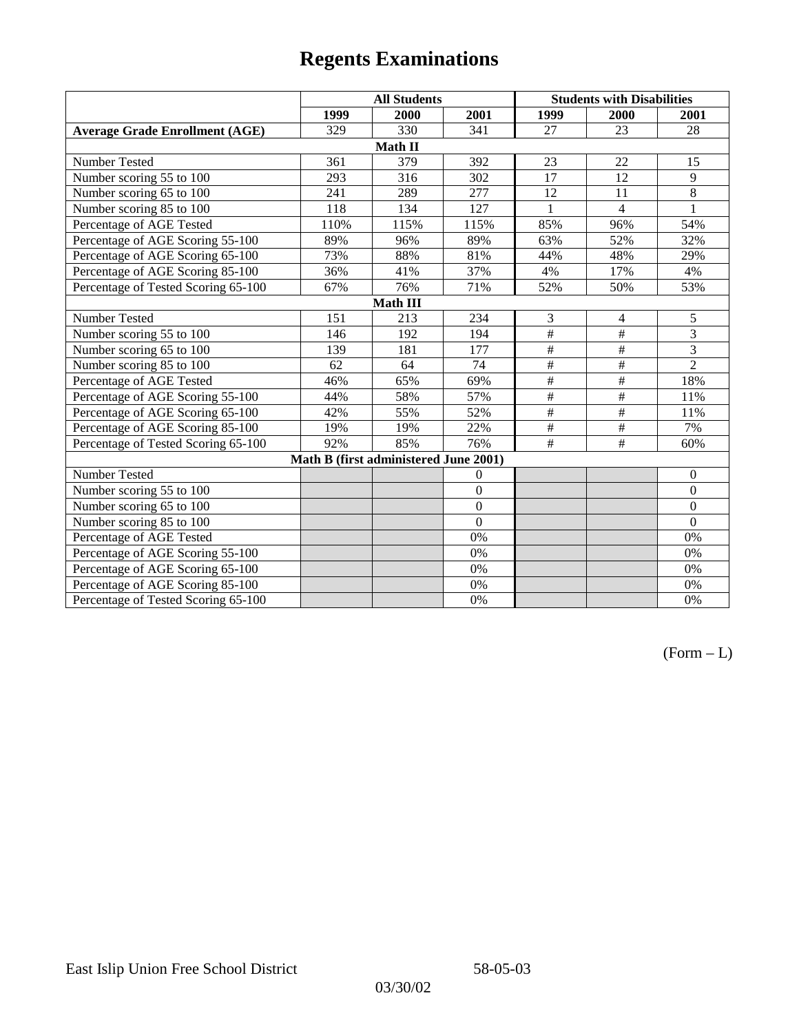|                                       | <b>All Students</b>                   |         |                | <b>Students with Disabilities</b> |                |                  |  |  |
|---------------------------------------|---------------------------------------|---------|----------------|-----------------------------------|----------------|------------------|--|--|
|                                       | 1999                                  | 2000    | 2001           | 1999                              | 2000           | 2001             |  |  |
| <b>Average Grade Enrollment (AGE)</b> | 329                                   | 330     | 341            | 27                                | 23             | 28               |  |  |
|                                       |                                       | Math II |                |                                   |                |                  |  |  |
| Number Tested                         | 361                                   | 379     | 392            | 23                                | 22             | 15               |  |  |
| Number scoring 55 to 100              | 293                                   | 316     | 302            | 17                                | 12             | 9                |  |  |
| Number scoring 65 to 100              | 241                                   | 289     | 277            | 12                                | 11             | $\overline{8}$   |  |  |
| Number scoring 85 to 100              | 118                                   | 134     | 127            |                                   | $\overline{4}$ | 1                |  |  |
| Percentage of AGE Tested              | 110%                                  | 115%    | 115%           | 85%                               | 96%            | 54%              |  |  |
| Percentage of AGE Scoring 55-100      | 89%                                   | 96%     | 89%            | 63%                               | 52%            | 32%              |  |  |
| Percentage of AGE Scoring 65-100      | 73%                                   | 88%     | 81%            | 44%                               | 48%            | 29%              |  |  |
| Percentage of AGE Scoring 85-100      | 36%                                   | 41%     | 37%            | 4%                                | 17%            | 4%               |  |  |
| Percentage of Tested Scoring 65-100   | 67%                                   | 76%     | 71%            | 52%                               | 50%            | 53%              |  |  |
| Math III                              |                                       |         |                |                                   |                |                  |  |  |
| Number Tested                         | 151                                   | 213     | 234            | 3                                 | $\overline{4}$ | 5                |  |  |
| Number scoring 55 to 100              | 146                                   | 192     | 194            | $\overline{\#}$                   | $\#$           | 3                |  |  |
| Number scoring 65 to 100              | 139                                   | 181     | 177            | $\#$                              | $\#$           | 3                |  |  |
| Number scoring 85 to 100              | 62                                    | 64      | 74             | $\#$                              | $\#$           | $\overline{2}$   |  |  |
| Percentage of AGE Tested              | 46%                                   | 65%     | 69%            | $\#$                              | $\#$           | 18%              |  |  |
| Percentage of AGE Scoring 55-100      | 44%                                   | 58%     | 57%            | $\#$                              | $\#$           | 11%              |  |  |
| Percentage of AGE Scoring 65-100      | 42%                                   | 55%     | 52%            | $\#$                              | $\#$           | 11%              |  |  |
| Percentage of AGE Scoring 85-100      | 19%                                   | 19%     | 22%            | $\#$                              | $\#$           | 7%               |  |  |
| Percentage of Tested Scoring 65-100   | 92%                                   | 85%     | 76%            | $\overline{\#}$                   | #              | 60%              |  |  |
|                                       | Math B (first administered June 2001) |         |                |                                   |                |                  |  |  |
| Number Tested                         |                                       |         | $\mathbf{0}$   |                                   |                | $\mathbf{0}$     |  |  |
| Number scoring 55 to 100              |                                       |         | $\overline{0}$ |                                   |                | $\boldsymbol{0}$ |  |  |
| Number scoring 65 to 100              |                                       |         | $\mathbf{0}$   |                                   |                | $\boldsymbol{0}$ |  |  |
| Number scoring 85 to 100              |                                       |         | $\overline{0}$ |                                   |                | $\boldsymbol{0}$ |  |  |
| Percentage of AGE Tested              |                                       |         | 0%             |                                   |                | $0\%$            |  |  |
| Percentage of AGE Scoring 55-100      |                                       |         | 0%             |                                   |                | $0\%$            |  |  |
| Percentage of AGE Scoring 65-100      |                                       |         | 0%             |                                   |                | $0\%$            |  |  |
| Percentage of AGE Scoring 85-100      |                                       |         | 0%             |                                   |                | $0\%$            |  |  |
| Percentage of Tested Scoring 65-100   |                                       |         | 0%             |                                   |                | 0%               |  |  |

 $(Form - L)$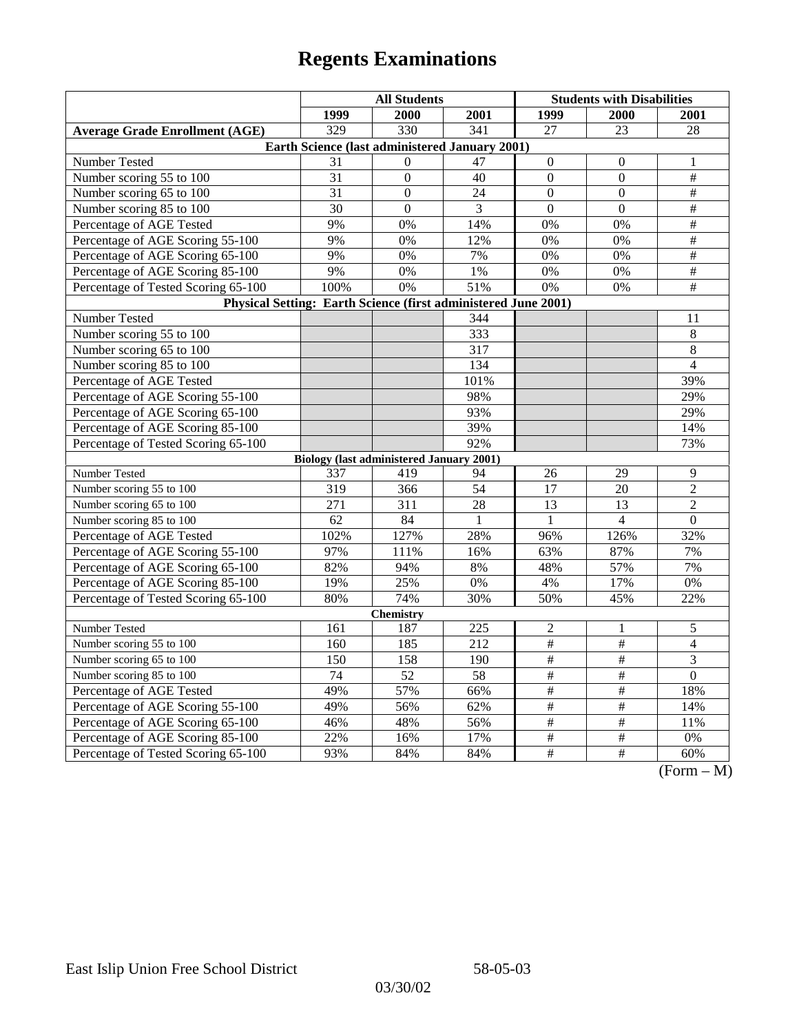|                                                                | <b>All Students</b>                             |                |                 | <b>Students with Disabilities</b> |                  |                                       |  |  |
|----------------------------------------------------------------|-------------------------------------------------|----------------|-----------------|-----------------------------------|------------------|---------------------------------------|--|--|
|                                                                | 1999                                            | 2000           | 2001            | 1999                              | 2000             | 2001                                  |  |  |
| <b>Average Grade Enrollment (AGE)</b>                          | 329                                             | 330            | 341             | 27                                | 23               | 28                                    |  |  |
| Earth Science (last administered January 2001)                 |                                                 |                |                 |                                   |                  |                                       |  |  |
| Number Tested                                                  | 31                                              | $\Omega$       | 47              | $\mathbf{0}$                      | $\theta$         | 1                                     |  |  |
| Number scoring 55 to 100                                       | 31                                              | $\mathbf{0}$   | 40              | $\mathbf{0}$                      | $\boldsymbol{0}$ | $\overline{\#}$                       |  |  |
| Number scoring 65 to 100                                       | 31                                              | $\theta$       | 24              | $\Omega$                          | $\theta$         | $\overline{\ddot{}}$                  |  |  |
| Number scoring 85 to 100                                       | $\overline{30}$                                 | $\overline{0}$ | 3               | $\overline{0}$                    | $\overline{0}$   | $\#$                                  |  |  |
| Percentage of AGE Tested                                       | 9%                                              | 0%             | 14%             | 0%                                | 0%               | $\overline{\#}$                       |  |  |
| Percentage of AGE Scoring 55-100                               | 9%                                              | 0%             | 12%             | 0%                                | 0%               | $\#$                                  |  |  |
| Percentage of AGE Scoring 65-100                               | 9%                                              | 0%             | 7%              | 0%                                | 0%               | $\overline{\#}$                       |  |  |
| Percentage of AGE Scoring 85-100                               | 9%                                              | 0%             | 1%              | 0%                                | 0%               | $\#$                                  |  |  |
| Percentage of Tested Scoring 65-100                            | 100%                                            | 0%             | 51%             | $\overline{0\%}$                  | $0\%$            | $\overline{\#}$                       |  |  |
| Physical Setting: Earth Science (first administered June 2001) |                                                 |                |                 |                                   |                  |                                       |  |  |
| Number Tested                                                  |                                                 |                | 344             |                                   |                  | 11                                    |  |  |
| Number scoring 55 to 100                                       |                                                 |                | 333             |                                   |                  | $8\,$                                 |  |  |
| Number scoring 65 to 100                                       |                                                 |                | 317             |                                   |                  | 8                                     |  |  |
| Number scoring 85 to 100                                       |                                                 |                | 134             |                                   |                  | 4                                     |  |  |
| Percentage of AGE Tested                                       |                                                 |                | 101%            |                                   |                  | 39%                                   |  |  |
| Percentage of AGE Scoring 55-100                               |                                                 |                | 98%             |                                   |                  | 29%                                   |  |  |
| Percentage of AGE Scoring 65-100                               |                                                 |                | 93%             |                                   |                  | 29%                                   |  |  |
| Percentage of AGE Scoring 85-100                               |                                                 |                | 39%             |                                   |                  | 14%                                   |  |  |
| Percentage of Tested Scoring 65-100                            |                                                 |                | 92%             |                                   |                  | 73%                                   |  |  |
|                                                                | <b>Biology (last administered January 2001)</b> |                |                 |                                   |                  |                                       |  |  |
| Number Tested                                                  | 337                                             | 419            | 94              | 26                                | 29               | 9                                     |  |  |
| Number scoring 55 to 100                                       | 319                                             | 366            | 54              | 17                                | 20               | $\overline{2}$                        |  |  |
| Number scoring 65 to 100                                       | 271                                             | 311            | 28              | 13                                | 13               | $\overline{2}$                        |  |  |
| Number scoring 85 to 100                                       | 62                                              | 84             | 1               | $\mathbf{1}$                      | $\overline{4}$   | $\overline{0}$                        |  |  |
| Percentage of AGE Tested                                       | 102%                                            | 127%           | 28%             | 96%                               | 126%             | 32%                                   |  |  |
| Percentage of AGE Scoring 55-100                               | 97%                                             | 111%           | 16%             | 63%                               | 87%              | 7%                                    |  |  |
| Percentage of AGE Scoring 65-100                               | 82%                                             | 94%            | 8%              | 48%                               | 57%              | 7%                                    |  |  |
| Percentage of AGE Scoring 85-100                               | 19%                                             | 25%            | 0%              | 4%                                | 17%              | 0%                                    |  |  |
| Percentage of Tested Scoring 65-100                            | 80%                                             | 74%            | 30%             | 50%                               | 45%              | 22%                                   |  |  |
| <b>Chemistry</b>                                               |                                                 |                |                 |                                   |                  |                                       |  |  |
| Number Tested                                                  | 161                                             | 187            | 225             | $\overline{c}$                    | 1                | 5                                     |  |  |
| Number scoring 55 to 100                                       | 160                                             | 185            | 212             | $\overline{+}$                    | $\#$             | $\overline{4}$                        |  |  |
| Number scoring 65 to 100                                       | 150                                             | 158            | 190             | $\overline{\#}$                   | $\#$             | $\overline{3}$                        |  |  |
| Number scoring 85 to 100                                       | $\overline{74}$                                 | 52             | $\overline{58}$ | $\#$                              | $\#$             | $\overline{0}$                        |  |  |
| Percentage of AGE Tested                                       | 49%                                             | 57%            | 66%             | $\frac{1}{2}$                     | $\frac{1}{2}$    | 18%                                   |  |  |
| Percentage of AGE Scoring 55-100                               | 49%                                             | 56%            | 62%             | $\#$                              | $\#$             | 14%                                   |  |  |
| Percentage of AGE Scoring 65-100                               | 46%                                             | 48%            | 56%             | $\#$                              | $\#$             | 11%                                   |  |  |
| Percentage of AGE Scoring 85-100                               | 22%                                             | 16%            | 17%             | $\#$                              | $\#$             | 0%                                    |  |  |
| Percentage of Tested Scoring 65-100                            | 93%                                             | 84%            | 84%             | $\overline{\#}$                   | $\overline{\#}$  | 60%<br>$(T_{\rm ex})$<br>$\mathbf{A}$ |  |  |

 $(Form - M)$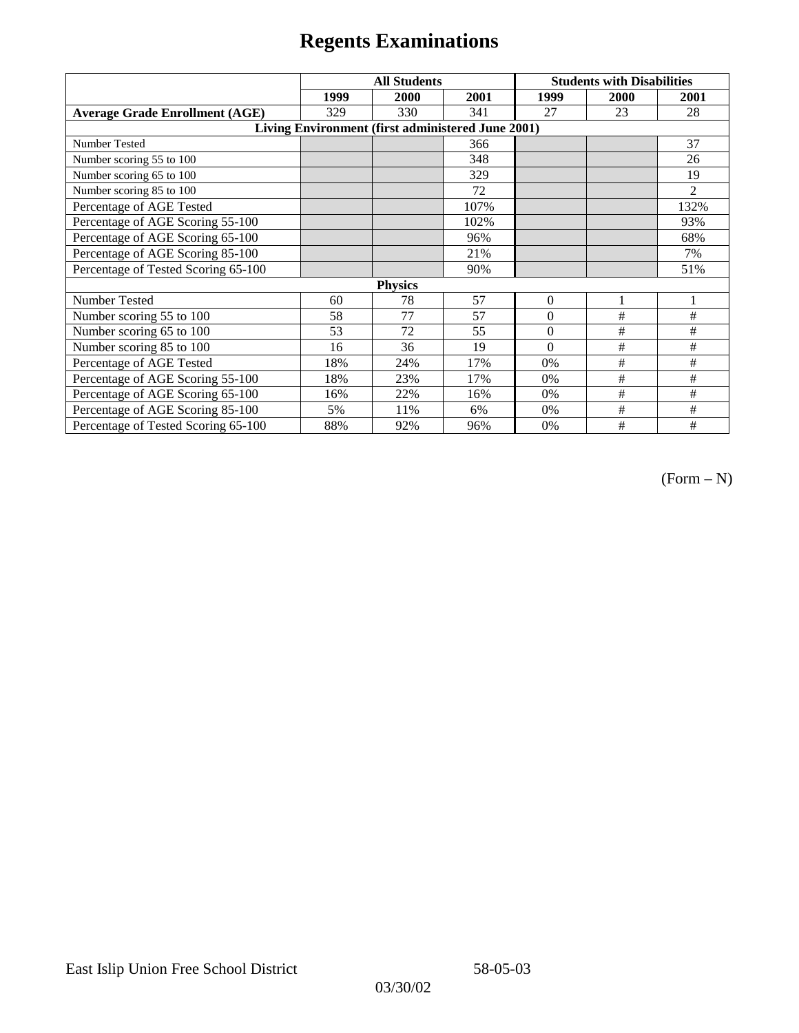|                                                   | <b>All Students</b> |      |      | <b>Students with Disabilities</b> |      |                |  |  |
|---------------------------------------------------|---------------------|------|------|-----------------------------------|------|----------------|--|--|
|                                                   | 1999                | 2000 | 2001 | 1999                              | 2000 | 2001           |  |  |
| <b>Average Grade Enrollment (AGE)</b>             | 329                 | 330  | 341  | 27                                | 23   | 28             |  |  |
| Living Environment (first administered June 2001) |                     |      |      |                                   |      |                |  |  |
| Number Tested                                     |                     |      | 366  |                                   |      | 37             |  |  |
| Number scoring 55 to 100                          |                     |      | 348  |                                   |      | 26             |  |  |
| Number scoring 65 to 100                          |                     |      | 329  |                                   |      | 19             |  |  |
| Number scoring 85 to 100                          |                     |      | 72   |                                   |      | $\overline{2}$ |  |  |
| Percentage of AGE Tested                          |                     |      | 107% |                                   |      | 132%           |  |  |
| Percentage of AGE Scoring 55-100                  |                     |      | 102% |                                   |      | 93%            |  |  |
| Percentage of AGE Scoring 65-100                  |                     |      | 96%  |                                   |      | 68%            |  |  |
| Percentage of AGE Scoring 85-100                  |                     |      | 21%  |                                   |      | 7%             |  |  |
| Percentage of Tested Scoring 65-100               |                     |      | 90%  |                                   |      | 51%            |  |  |
| <b>Physics</b>                                    |                     |      |      |                                   |      |                |  |  |
| Number Tested                                     | 60                  | 78   | 57   | $\mathbf{0}$                      | 1    | 1              |  |  |
| Number scoring 55 to 100                          | 58                  | 77   | 57   | $\Omega$                          | #    | #              |  |  |
| Number scoring 65 to 100                          | 53                  | 72   | 55   | $\Omega$                          | #    | #              |  |  |
| Number scoring 85 to 100                          | 16                  | 36   | 19   | $\Omega$                          | #    | #              |  |  |
| Percentage of AGE Tested                          | 18%                 | 24%  | 17%  | 0%                                | #    | #              |  |  |
| Percentage of AGE Scoring 55-100                  | 18%                 | 23%  | 17%  | $0\%$                             | $\#$ | #              |  |  |
| Percentage of AGE Scoring 65-100                  | 16%                 | 22%  | 16%  | 0%                                | #    | #              |  |  |
| Percentage of AGE Scoring 85-100                  | 5%                  | 11%  | 6%   | 0%                                | #    | #              |  |  |
| Percentage of Tested Scoring 65-100               | 88%                 | 92%  | 96%  | 0%                                | #    | #              |  |  |

 $(Form - N)$